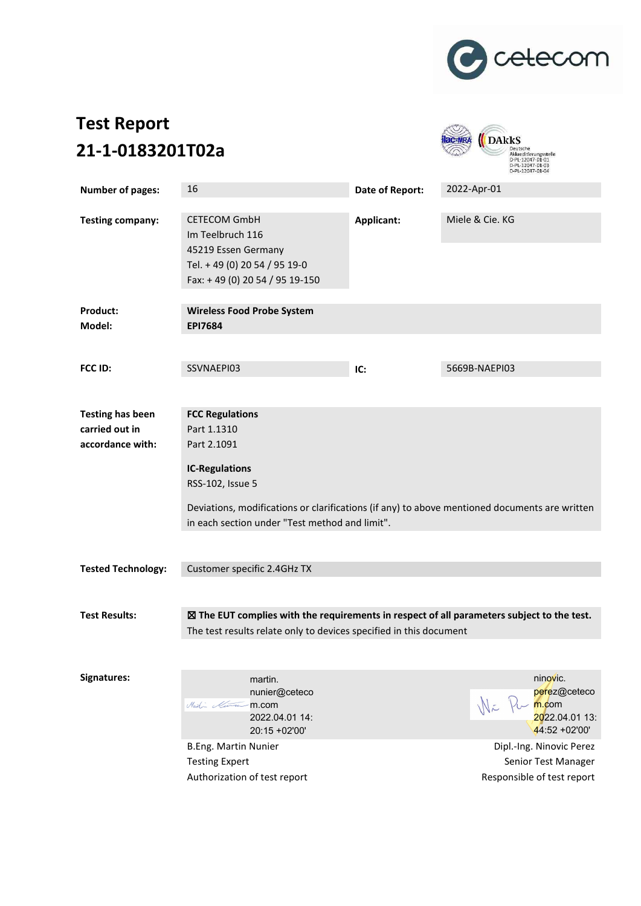

# **Test Report 21-1-0183201T02a**



| <b>Number of pages:</b>                                       | 16                                                                                                                                                                                                                                                   | Date of Report: | 2022-Apr-01                                                                                                                                                             |  |  |  |  |
|---------------------------------------------------------------|------------------------------------------------------------------------------------------------------------------------------------------------------------------------------------------------------------------------------------------------------|-----------------|-------------------------------------------------------------------------------------------------------------------------------------------------------------------------|--|--|--|--|
| <b>Testing company:</b>                                       | <b>CETECOM GmbH</b><br>Im Teelbruch 116<br>45219 Essen Germany<br>Tel. +49 (0) 20 54 / 95 19-0<br>Fax: +49 (0) 20 54 / 95 19-150                                                                                                                     | Applicant:      | Miele & Cie. KG                                                                                                                                                         |  |  |  |  |
| Product:<br>Model:                                            | <b>Wireless Food Probe System</b><br><b>EPI7684</b>                                                                                                                                                                                                  |                 |                                                                                                                                                                         |  |  |  |  |
|                                                               |                                                                                                                                                                                                                                                      |                 |                                                                                                                                                                         |  |  |  |  |
| FCC ID:                                                       | SSVNAEPI03                                                                                                                                                                                                                                           | IC:             | 5669B-NAEPI03                                                                                                                                                           |  |  |  |  |
|                                                               |                                                                                                                                                                                                                                                      |                 |                                                                                                                                                                         |  |  |  |  |
| <b>Testing has been</b><br>carried out in<br>accordance with: | <b>FCC Regulations</b><br>Part 1.1310<br>Part 2.1091<br><b>IC-Regulations</b><br>RSS-102, Issue 5<br>Deviations, modifications or clarifications (if any) to above mentioned documents are written<br>in each section under "Test method and limit". |                 |                                                                                                                                                                         |  |  |  |  |
| <b>Tested Technology:</b>                                     | Customer specific 2.4GHz TX                                                                                                                                                                                                                          |                 |                                                                                                                                                                         |  |  |  |  |
| <b>Test Results:</b>                                          | $\boxtimes$ The EUT complies with the requirements in respect of all parameters subject to the test.<br>The test results relate only to devices specified in this document                                                                           |                 |                                                                                                                                                                         |  |  |  |  |
| Signatures:                                                   | martin.<br>nunier@ceteco<br>Martin Martin M.COM<br>2022.04.01 14:<br>20:15 +02'00'<br><b>B.Eng. Martin Nunier</b><br><b>Testing Expert</b><br>Authorization of test report                                                                           |                 | ninovic.<br>perez@ceteco<br>$W_{\text{m}}$ m.com<br>2022.04.01 13:<br>$44:52 + 02'00'$<br>Dipl.-Ing. Ninovic Perez<br>Senior Test Manager<br>Responsible of test report |  |  |  |  |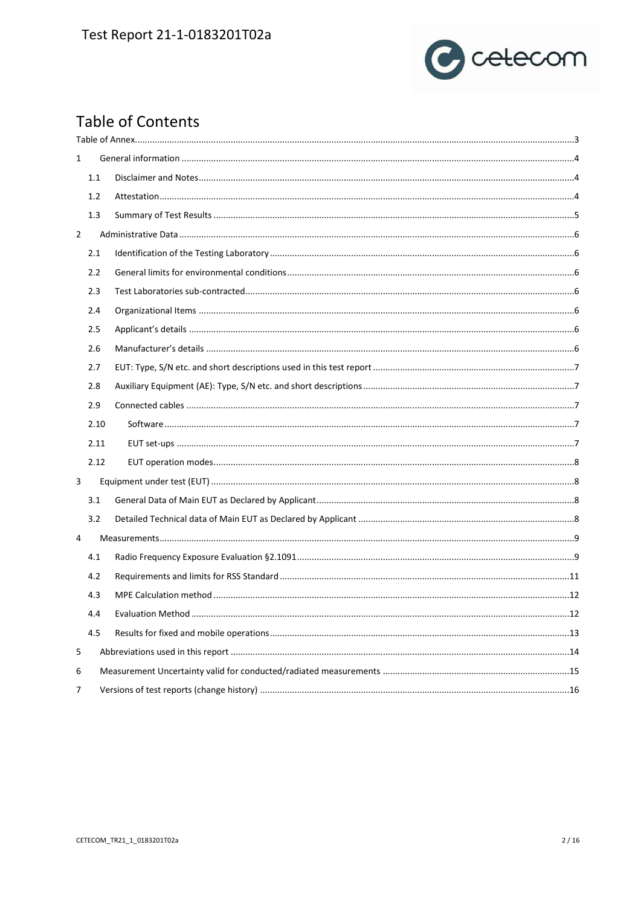# Test Report 21-1-0183201T02a



# **Table of Contents**

| $\mathbf{1}$ |      |  |
|--------------|------|--|
|              | 1.1  |  |
|              | 1.2  |  |
|              | 1.3  |  |
| 2            |      |  |
|              | 2.1  |  |
|              | 2.2  |  |
|              | 2.3  |  |
|              | 2.4  |  |
|              | 2.5  |  |
|              | 2.6  |  |
|              | 2.7  |  |
|              | 2.8  |  |
|              | 2.9  |  |
|              | 2.10 |  |
|              | 2.11 |  |
|              | 2.12 |  |
| 3            |      |  |
|              | 3.1  |  |
|              | 3.2  |  |
| 4            |      |  |
|              | 4.1  |  |
|              | 4.2  |  |
|              | 4.3  |  |
|              | 4.4  |  |
|              | 4.5  |  |
| 5            |      |  |
| 6            |      |  |
| 7            |      |  |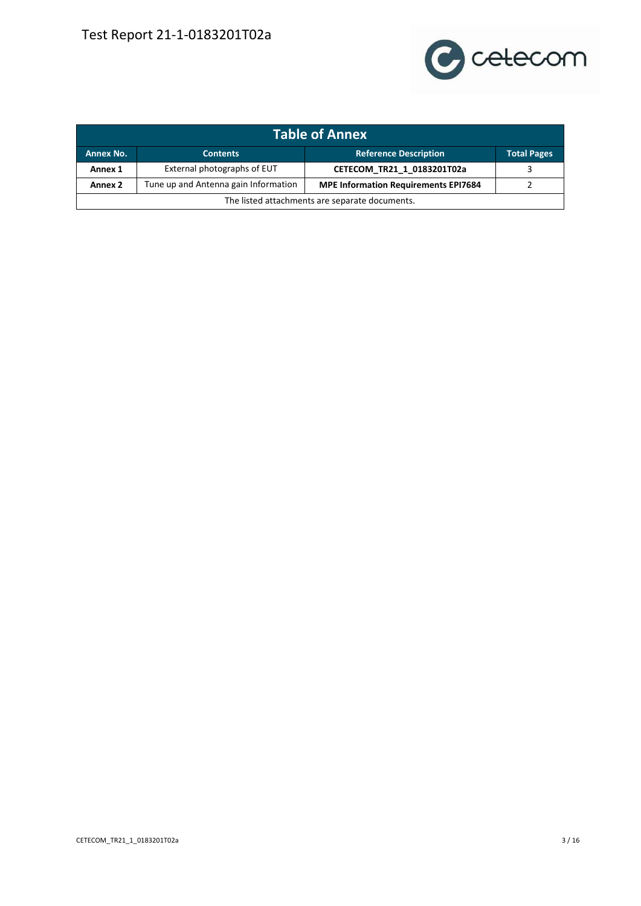

<span id="page-2-0"></span>

| <b>Table of Annex</b>                          |                                      |                                             |                    |  |  |  |
|------------------------------------------------|--------------------------------------|---------------------------------------------|--------------------|--|--|--|
| <b>Annex No.</b>                               | <b>Contents</b>                      | <b>Reference Description</b>                | <b>Total Pages</b> |  |  |  |
| Annex 1                                        | External photographs of EUT          | CETECOM_TR21_1_0183201T02a                  |                    |  |  |  |
| Annex <sub>2</sub>                             | Tune up and Antenna gain Information | <b>MPE Information Requirements EPI7684</b> |                    |  |  |  |
| The listed attachments are separate documents. |                                      |                                             |                    |  |  |  |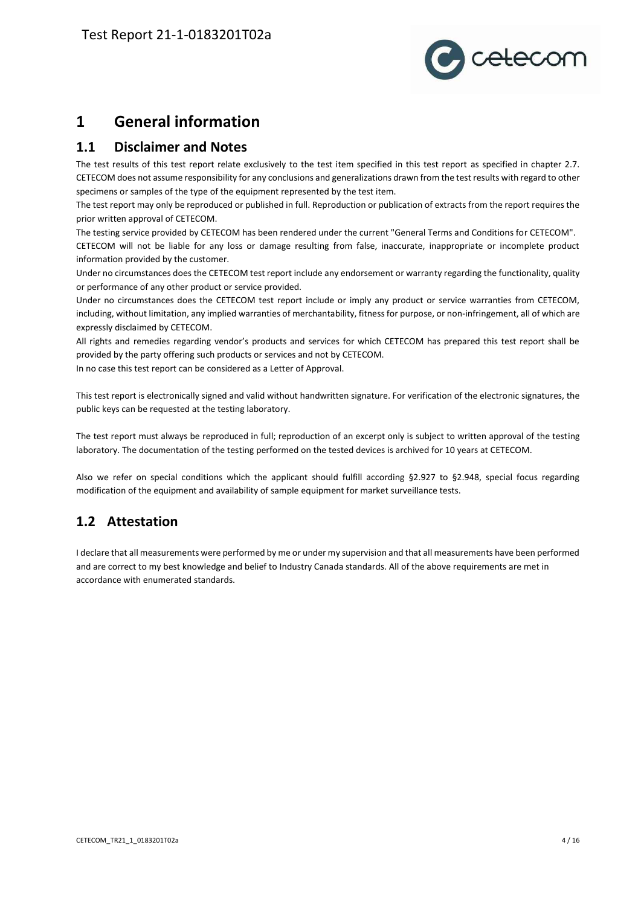

## <span id="page-3-0"></span>**1 General information**

#### <span id="page-3-1"></span>**1.1 Disclaimer and Notes**

The test results of this test report relate exclusively to the test item specified in this test report as specified in chapter 2.7. CETECOM does not assume responsibility for any conclusions and generalizations drawn from the test results with regard to other specimens or samples of the type of the equipment represented by the test item.

The test report may only be reproduced or published in full. Reproduction or publication of extracts from the report requires the prior written approval of CETECOM.

The testing service provided by CETECOM has been rendered under the current "General Terms and Conditions for CETECOM". CETECOM will not be liable for any loss or damage resulting from false, inaccurate, inappropriate or incomplete product information provided by the customer.

Under no circumstances does the CETECOM test report include any endorsement or warranty regarding the functionality, quality or performance of any other product or service provided.

Under no circumstances does the CETECOM test report include or imply any product or service warranties from CETECOM, including, without limitation, any implied warranties of merchantability, fitness for purpose, or non-infringement, all of which are expressly disclaimed by CETECOM.

All rights and remedies regarding vendor's products and services for which CETECOM has prepared this test report shall be provided by the party offering such products or services and not by CETECOM.

In no case this test report can be considered as a Letter of Approval.

This test report is electronically signed and valid without handwritten signature. For verification of the electronic signatures, the public keys can be requested at the testing laboratory.

The test report must always be reproduced in full; reproduction of an excerpt only is subject to written approval of the testing laboratory. The documentation of the testing performed on the tested devices is archived for 10 years at CETECOM.

Also we refer on special conditions which the applicant should fulfill according §2.927 to §2.948, special focus regarding modification of the equipment and availability of sample equipment for market surveillance tests.

## <span id="page-3-2"></span>**1.2 Attestation**

I declare that all measurements were performed by me or under my supervision and that all measurements have been performed and are correct to my best knowledge and belief to Industry Canada standards. All of the above requirements are met in accordance with enumerated standards.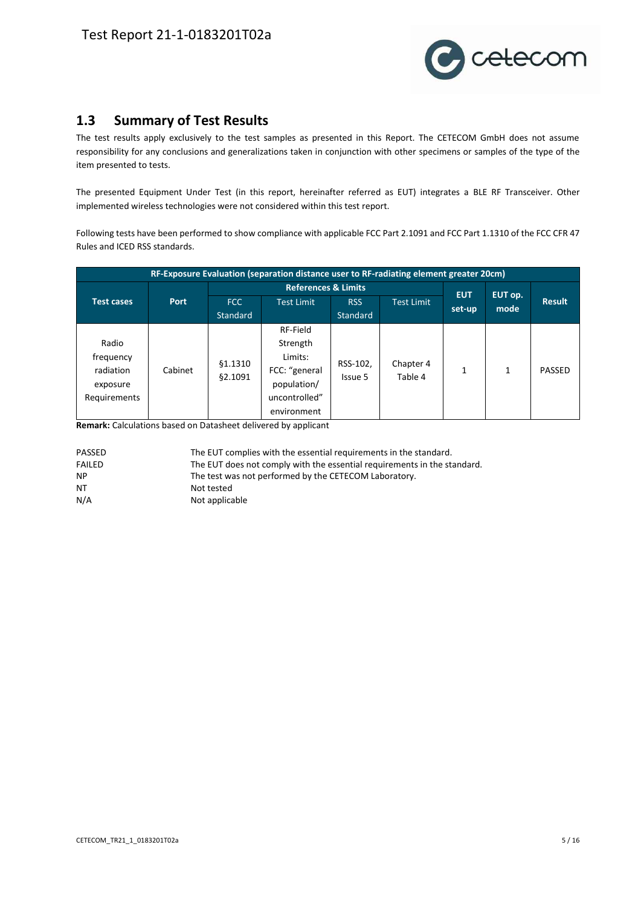

#### <span id="page-4-0"></span>**1.3 Summary of Test Results**

The test results apply exclusively to the test samples as presented in this Report. The CETECOM GmbH does not assume responsibility for any conclusions and generalizations taken in conjunction with other specimens or samples of the type of the item presented to tests.

The presented Equipment Under Test (in this report, hereinafter referred as EUT) integrates a BLE RF Transceiver. Other implemented wireless technologies were not considered within this test report.

Following tests have been performed to show compliance with applicable FCC Part 2.1091 and FCC Part 1.1310 of the FCC CFR 47 Rules and ICED RSS standards.

|                   |             |                                | RF-Exposure Evaluation (separation distance user to RF-radiating element greater 20cm) |          |                   |            |                 |               |
|-------------------|-------------|--------------------------------|----------------------------------------------------------------------------------------|----------|-------------------|------------|-----------------|---------------|
|                   |             | <b>References &amp; Limits</b> |                                                                                        |          |                   | <b>EUT</b> |                 |               |
| <b>Test cases</b> | <b>Port</b> | FCC                            | <b>Test Limit</b>                                                                      | RSS      | <b>Test Limit</b> | set-up     | EUT op.<br>mode | <b>Result</b> |
|                   |             | <b>Standard</b>                |                                                                                        | Standard |                   |            |                 |               |
|                   |             |                                | RF-Field                                                                               |          |                   |            |                 |               |
| Radio             |             |                                | Strength                                                                               |          |                   |            |                 |               |
| frequency         |             | §1.1310                        | Limits:                                                                                | RSS-102, | Chapter 4         |            |                 |               |
| radiation         | Cabinet     | <b>§2.1091</b>                 | FCC: "general                                                                          | Issue 5  | Table 4           |            | 1               | PASSED        |
| exposure          |             |                                | population/                                                                            |          |                   |            |                 |               |
| Requirements      |             |                                | uncontrolled"                                                                          |          |                   |            |                 |               |
|                   |             |                                | environment                                                                            |          |                   |            |                 |               |

**Remark:** Calculations based on Datasheet delivered by applicant

| PASSED | The EUT complies with the essential requirements in the standard.        |
|--------|--------------------------------------------------------------------------|
| FAILED | The EUT does not comply with the essential requirements in the standard. |
| NP.    | The test was not performed by the CETECOM Laboratory.                    |
| NT     | Not tested                                                               |
| N/A    | Not applicable                                                           |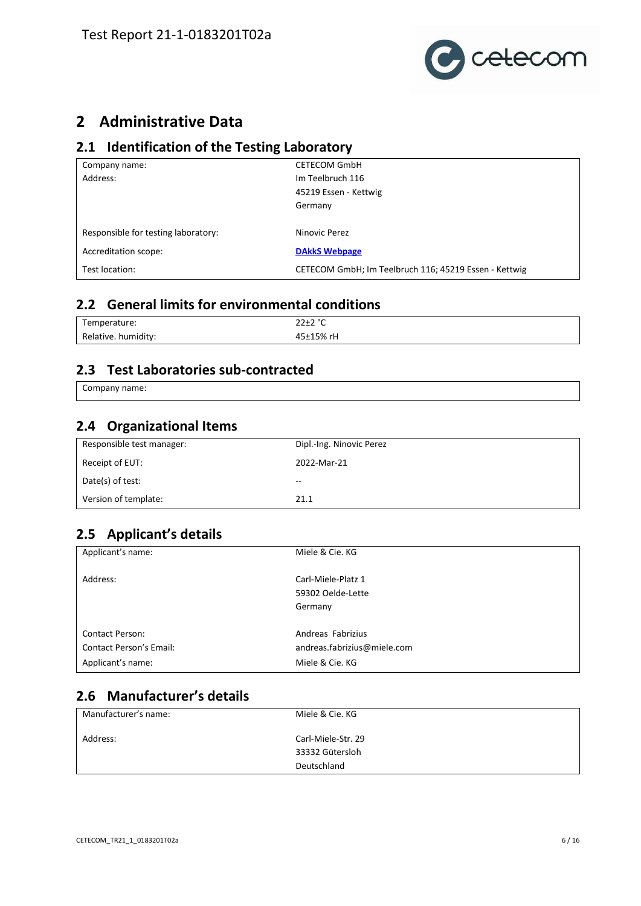

# <span id="page-5-0"></span>**2 Administrative Data**

#### <span id="page-5-1"></span>**2.1 Identification of the Testing Laboratory**

| Company name:                       | <b>CETECOM GmbH</b>                                   |
|-------------------------------------|-------------------------------------------------------|
| Address:                            | Im Teelbruch 116                                      |
|                                     | 45219 Essen - Kettwig                                 |
|                                     | Germany                                               |
|                                     |                                                       |
| Responsible for testing laboratory: | Ninovic Perez                                         |
| Accreditation scope:                | <b>DAkkS Webpage</b>                                  |
| Test location:                      | CETECOM GmbH; Im Teelbruch 116; 45219 Essen - Kettwig |

## <span id="page-5-2"></span>**2.2 General limits for environmental conditions**

| $\overline{\phantom{0}}$<br>Temperature: | $22 + 29$<br>ZZIZ<br>. .<br>$\sim$ |
|------------------------------------------|------------------------------------|
| .<br>Relative.<br>humidity:              | $+15%$                             |

#### <span id="page-5-3"></span>**2.3 Test Laboratories sub-contracted**

Company name:

#### <span id="page-5-4"></span>**2.4 Organizational Items**

| Responsible test manager: | Dipl.-Ing. Ninovic Perez |
|---------------------------|--------------------------|
| Receipt of EUT:           | 2022-Mar-21              |
| Date(s) of test:          | --                       |
| Version of template:      | 21.1                     |

#### <span id="page-5-5"></span>**2.5 Applicant's details**

| Applicant's name:              | Miele & Cie. KG             |
|--------------------------------|-----------------------------|
| Address:                       | Carl-Miele-Platz 1          |
|                                | 59302 Oelde-Lette           |
|                                | Germany                     |
| <b>Contact Person:</b>         | Andreas Fabrizius           |
| <b>Contact Person's Email:</b> | andreas.fabrizius@miele.com |
| Applicant's name:              | Miele & Cie. KG             |

## <span id="page-5-6"></span>**2.6 Manufacturer's details**

| Manufacturer's name: | Miele & Cie. KG    |
|----------------------|--------------------|
| Address:             | Carl-Miele-Str. 29 |
|                      | 33332 Gütersloh    |
|                      | Deutschland        |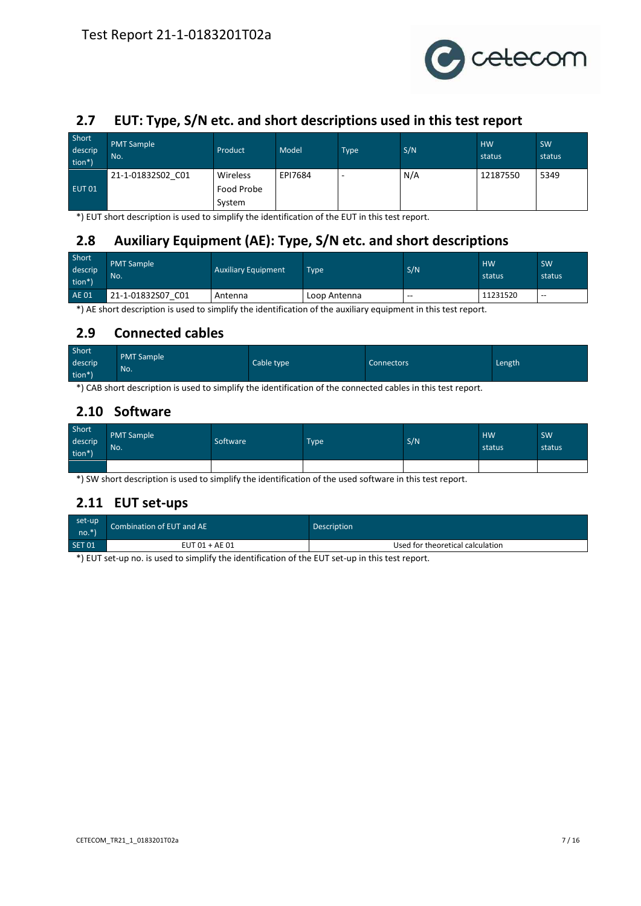

## <span id="page-6-0"></span>**2.7 EUT: Type, S/N etc. and short descriptions used in this test report**

| Short<br>descrip<br>tion*) | <b>PMT Sample</b><br>No. | Product    | Model   | <b>Type</b> | S/N | <b>HW</b><br>status | SW<br>status |
|----------------------------|--------------------------|------------|---------|-------------|-----|---------------------|--------------|
|                            | 21-1-01832S02 C01        | Wireless   | EPI7684 |             | N/A | 12187550            | 5349         |
| EUT <sub>01</sub>          |                          | Food Probe |         |             |     |                     |              |
|                            |                          | System     |         |             |     |                     |              |

\*) EUT short description is used to simplify the identification of the EUT in this test report.

## <span id="page-6-1"></span>**2.8 Auxiliary Equipment (AE): Type, S/N etc. and short descriptions**

| Short<br>descrip<br>tion*) | <b>PMT Sample</b><br>No. | <b>Auxiliary Equipment</b> | <b>Type</b>  | S/N   | <b>HW</b><br>status | <b>SW</b><br>status |
|----------------------------|--------------------------|----------------------------|--------------|-------|---------------------|---------------------|
| <b>AE 01</b>               | 21-1-01832S07<br>CO1     | Antenna                    | Loop Antenna | $- -$ | 11231520            | $- -$               |

\*) AE short description is used to simplify the identification of the auxiliary equipment in this test report.

#### <span id="page-6-2"></span>**2.9 Connected cables**

| Short   | <b>PMT Sample</b> |            |            |        |
|---------|-------------------|------------|------------|--------|
| descrip | No.               | Cable type | Connectors | Length |
| tion*)  |                   |            |            |        |

\*) CAB short description is used to simplify the identification of the connected cables in this test report.

#### <span id="page-6-3"></span>**2.10 Software**

| Short<br>descrip<br>tion*) | <b>PMT Sample</b><br>No. | Software | <b>Type</b> | S/N | HW.<br>status | SW<br>status |
|----------------------------|--------------------------|----------|-------------|-----|---------------|--------------|
|                            |                          |          |             |     |               |              |

\*) SW short description is used to simplify the identification of the used software in this test report.

#### <span id="page-6-4"></span>**2.11 EUT set-ups**

| set-up      | Combination of EUT and AE | <b>Description</b>               |  |  |  |  |
|-------------|---------------------------|----------------------------------|--|--|--|--|
| $n$ no. $*$ |                           |                                  |  |  |  |  |
| SET 01      | $EUT 01 + AE 01$          | Used for theoretical calculation |  |  |  |  |

\*) EUT set-up no. is used to simplify the identification of the EUT set-up in this test report.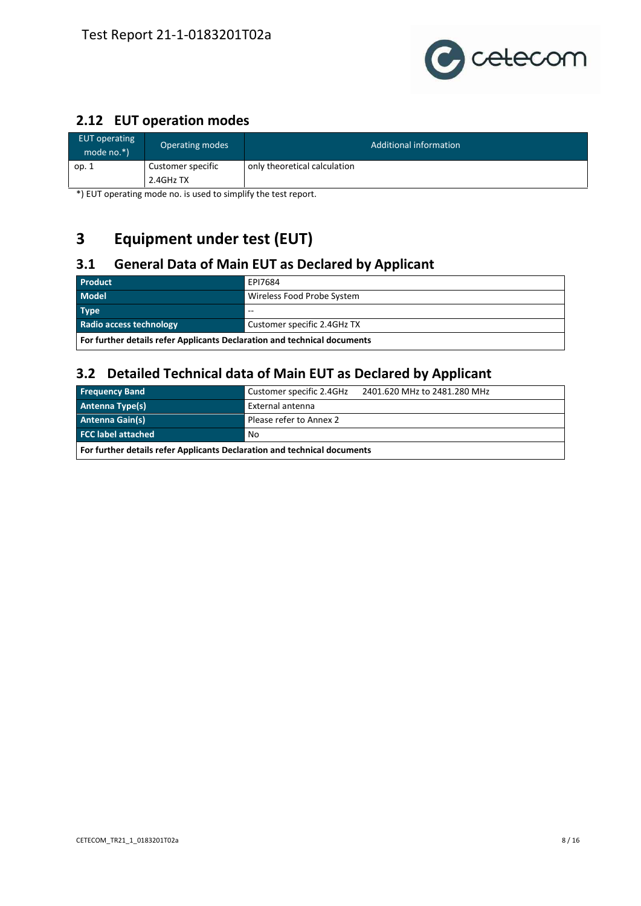

## <span id="page-7-0"></span>**2.12 EUT operation modes**

| EUT operating<br>mode $no.*$ ) | Operating modes                  | Additional information       |  |  |  |  |  |
|--------------------------------|----------------------------------|------------------------------|--|--|--|--|--|
| op. 1                          | Customer specific<br>$2.4GHz$ TX | only theoretical calculation |  |  |  |  |  |

\*) EUT operating mode no. is used to simplify the test report.

# <span id="page-7-1"></span>**3 Equipment under test (EUT)**

## <span id="page-7-2"></span>**3.1 General Data of Main EUT as Declared by Applicant**

| <b>Product</b>                                                           | EPI7684                     |  |  |  |  |
|--------------------------------------------------------------------------|-----------------------------|--|--|--|--|
| <b>Model</b>                                                             | Wireless Food Probe System  |  |  |  |  |
| <b>Type</b>                                                              | $- -$                       |  |  |  |  |
| Radio access technology                                                  | Customer specific 2.4GHz TX |  |  |  |  |
| For further details refer Applicants Declaration and technical documents |                             |  |  |  |  |

#### <span id="page-7-3"></span>**3.2 Detailed Technical data of Main EUT as Declared by Applicant**

| <b>Frequency Band</b>                                                    | Customer specific 2.4GHz<br>2401.620 MHz to 2481.280 MHz |  |  |  |  |  |  |
|--------------------------------------------------------------------------|----------------------------------------------------------|--|--|--|--|--|--|
| <b>Antenna Type(s)</b>                                                   | External antenna                                         |  |  |  |  |  |  |
| <b>Antenna Gain(s)</b>                                                   | Please refer to Annex 2                                  |  |  |  |  |  |  |
| <b>FCC label attached</b>                                                | No                                                       |  |  |  |  |  |  |
| For further details refer Applicants Declaration and technical documents |                                                          |  |  |  |  |  |  |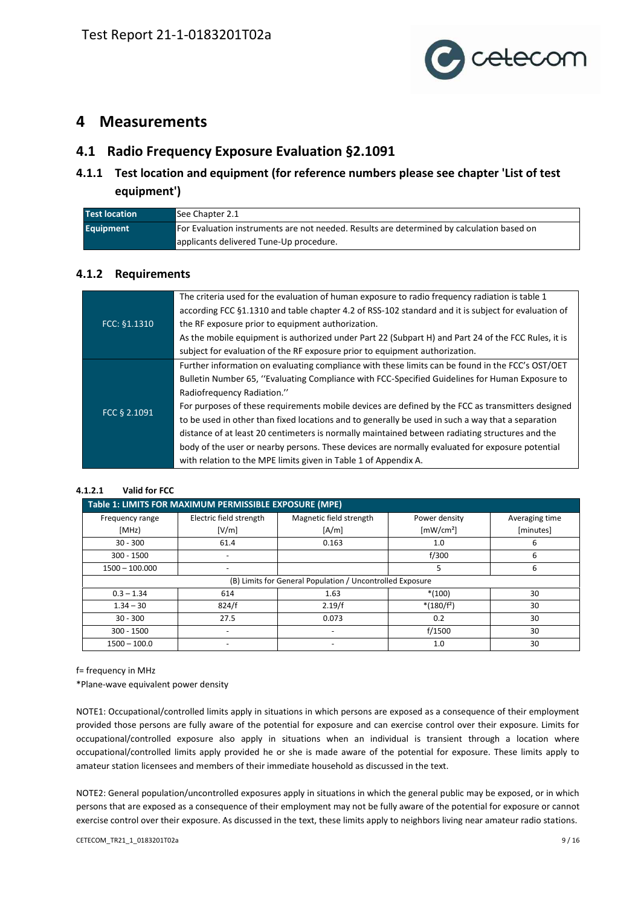

## <span id="page-8-0"></span>**4 Measurements**

#### <span id="page-8-1"></span>**4.1 Radio Frequency Exposure Evaluation §2.1091**

#### **4.1.1 Test location and equipment (for reference numbers please see chapter 'List of test equipment')**

| <b>Test location</b> | See Chapter 2.1                                                                           |
|----------------------|-------------------------------------------------------------------------------------------|
| <b>Equipment</b>     | For Evaluation instruments are not needed. Results are determined by calculation based on |
|                      | applicants delivered Tune-Up procedure.                                                   |

#### **4.1.2 Requirements**

|              | The criteria used for the evaluation of human exposure to radio frequency radiation is table 1      |
|--------------|-----------------------------------------------------------------------------------------------------|
|              | according FCC §1.1310 and table chapter 4.2 of RSS-102 standard and it is subject for evaluation of |
| FCC: §1.1310 | the RF exposure prior to equipment authorization.                                                   |
|              | As the mobile equipment is authorized under Part 22 (Subpart H) and Part 24 of the FCC Rules, it is |
|              | subject for evaluation of the RF exposure prior to equipment authorization.                         |
|              | Further information on evaluating compliance with these limits can be found in the FCC's OST/OET    |
|              | Bulletin Number 65, "Evaluating Compliance with FCC-Specified Guidelines for Human Exposure to      |
|              | Radiofrequency Radiation."                                                                          |
| FCC § 2.1091 | For purposes of these requirements mobile devices are defined by the FCC as transmitters designed   |
|              | to be used in other than fixed locations and to generally be used in such a way that a separation   |
|              | distance of at least 20 centimeters is normally maintained between radiating structures and the     |
|              | body of the user or nearby persons. These devices are normally evaluated for exposure potential     |
|              | with relation to the MPE limits given in Table 1 of Appendix A.                                     |

#### **4.1.2.1 Valid for FCC**

| Table 1: LIMITS FOR MAXIMUM PERMISSIBLE EXPOSURE (MPE) |                          |                                                           |                               |                |  |  |  |  |  |  |
|--------------------------------------------------------|--------------------------|-----------------------------------------------------------|-------------------------------|----------------|--|--|--|--|--|--|
| Frequency range                                        | Electric field strength  | Magnetic field strength                                   | Power density                 | Averaging time |  |  |  |  |  |  |
| [MHz]                                                  | [V/m]                    | [A/m]                                                     | $\left[\text{mW/cm}^2\right]$ | [minutes]      |  |  |  |  |  |  |
| $30 - 300$                                             | 61.4                     | 0.163                                                     | 1.0                           | 6              |  |  |  |  |  |  |
| $300 - 1500$                                           |                          |                                                           | f/300                         | 6              |  |  |  |  |  |  |
| $1500 - 100.000$                                       |                          |                                                           | 5                             | 6              |  |  |  |  |  |  |
|                                                        |                          | (B) Limits for General Population / Uncontrolled Exposure |                               |                |  |  |  |  |  |  |
| $0.3 - 1.34$                                           | 614                      | 1.63                                                      | $*(100)$                      | 30             |  |  |  |  |  |  |
| $1.34 - 30$                                            | 824/f                    | 2.19/f                                                    | $*(180/f^2)$                  | 30             |  |  |  |  |  |  |
| $30 - 300$                                             | 27.5                     | 0.073                                                     | 0.2                           | 30             |  |  |  |  |  |  |
| $300 - 1500$                                           | $\overline{\phantom{0}}$ |                                                           | f/1500                        | 30             |  |  |  |  |  |  |
| $1500 - 100.0$                                         |                          |                                                           | 1.0                           | 30             |  |  |  |  |  |  |

f= frequency in MHz

\*Plane-wave equivalent power density

NOTE1: Occupational/controlled limits apply in situations in which persons are exposed as a consequence of their employment provided those persons are fully aware of the potential for exposure and can exercise control over their exposure. Limits for occupational/controlled exposure also apply in situations when an individual is transient through a location where occupational/controlled limits apply provided he or she is made aware of the potential for exposure. These limits apply to amateur station licensees and members of their immediate household as discussed in the text.

NOTE2: General population/uncontrolled exposures apply in situations in which the general public may be exposed, or in which persons that are exposed as a consequence of their employment may not be fully aware of the potential for exposure or cannot exercise control over their exposure. As discussed in the text, these limits apply to neighbors living near amateur radio stations.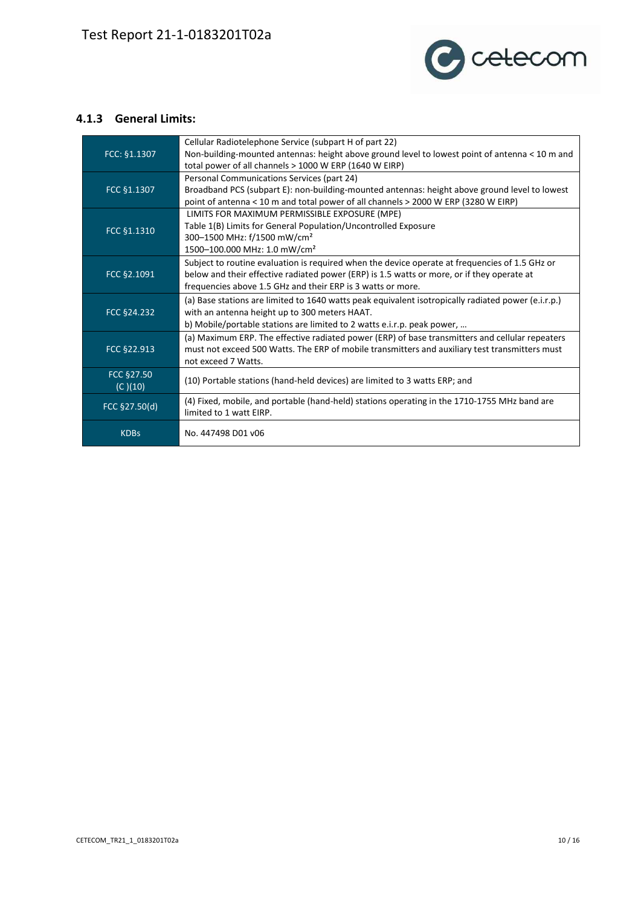

#### **4.1.3 General Limits:**

| FCC: §1.1307          | Cellular Radiotelephone Service (subpart H of part 22)<br>Non-building-mounted antennas: height above ground level to lowest point of antenna < 10 m and<br>total power of all channels > 1000 W ERP (1640 W EIRP)                                          |
|-----------------------|-------------------------------------------------------------------------------------------------------------------------------------------------------------------------------------------------------------------------------------------------------------|
| FCC §1.1307           | Personal Communications Services (part 24)<br>Broadband PCS (subpart E): non-building-mounted antennas: height above ground level to lowest<br>point of antenna < 10 m and total power of all channels > 2000 W ERP (3280 W EIRP)                           |
| FCC §1.1310           | LIMITS FOR MAXIMUM PERMISSIBLE EXPOSURE (MPE)<br>Table 1(B) Limits for General Population/Uncontrolled Exposure<br>300-1500 MHz: f/1500 mW/cm <sup>2</sup><br>1500-100.000 MHz: 1.0 mW/cm <sup>2</sup>                                                      |
| FCC §2.1091           | Subject to routine evaluation is required when the device operate at frequencies of 1.5 GHz or<br>below and their effective radiated power (ERP) is 1.5 watts or more, or if they operate at<br>frequencies above 1.5 GHz and their ERP is 3 watts or more. |
| FCC §24.232           | (a) Base stations are limited to 1640 watts peak equivalent isotropically radiated power (e.i.r.p.)<br>with an antenna height up to 300 meters HAAT.<br>b) Mobile/portable stations are limited to 2 watts e.i.r.p. peak power,                             |
| FCC §22.913           | (a) Maximum ERP. The effective radiated power (ERP) of base transmitters and cellular repeaters<br>must not exceed 500 Watts. The ERP of mobile transmitters and auxiliary test transmitters must<br>not exceed 7 Watts.                                    |
| FCC §27.50<br>(C)(10) | (10) Portable stations (hand-held devices) are limited to 3 watts ERP; and                                                                                                                                                                                  |
| FCC §27.50(d)         | (4) Fixed, mobile, and portable (hand-held) stations operating in the 1710-1755 MHz band are<br>limited to 1 watt EIRP.                                                                                                                                     |
| <b>KDBs</b>           | No. 447498 D01 v06                                                                                                                                                                                                                                          |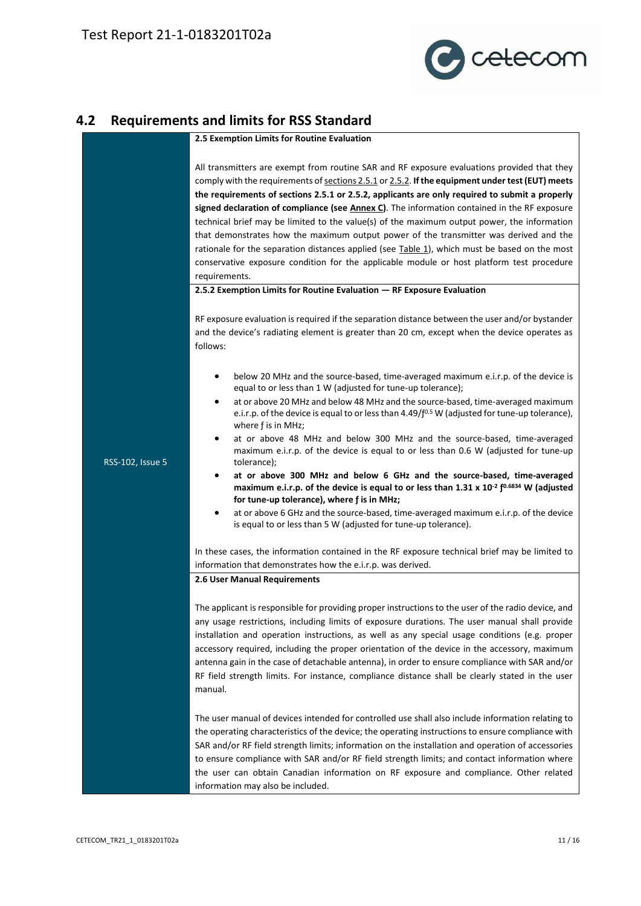

# **4.2 Requirements and limits for RSS Standard**

<span id="page-10-0"></span>

|                  | 2.5 Exemption Limits for Routine Evaluation                                                                                                                                                                                                                                                                                                                                                                                                                                                                                                                                                                                                                                                                                                                                                              |  |  |  |  |  |  |
|------------------|----------------------------------------------------------------------------------------------------------------------------------------------------------------------------------------------------------------------------------------------------------------------------------------------------------------------------------------------------------------------------------------------------------------------------------------------------------------------------------------------------------------------------------------------------------------------------------------------------------------------------------------------------------------------------------------------------------------------------------------------------------------------------------------------------------|--|--|--|--|--|--|
|                  | All transmitters are exempt from routine SAR and RF exposure evaluations provided that they<br>comply with the requirements of sections 2.5.1 or 2.5.2. If the equipment under test (EUT) meets<br>the requirements of sections 2.5.1 or 2.5.2, applicants are only required to submit a properly<br>signed declaration of compliance (see Annex C). The information contained in the RF exposure<br>technical brief may be limited to the value(s) of the maximum output power, the information<br>that demonstrates how the maximum output power of the transmitter was derived and the<br>rationale for the separation distances applied (see Table 1), which must be based on the most<br>conservative exposure condition for the applicable module or host platform test procedure<br>requirements. |  |  |  |  |  |  |
|                  | 2.5.2 Exemption Limits for Routine Evaluation - RF Exposure Evaluation                                                                                                                                                                                                                                                                                                                                                                                                                                                                                                                                                                                                                                                                                                                                   |  |  |  |  |  |  |
|                  | RF exposure evaluation is required if the separation distance between the user and/or bystander<br>and the device's radiating element is greater than 20 cm, except when the device operates as<br>follows:                                                                                                                                                                                                                                                                                                                                                                                                                                                                                                                                                                                              |  |  |  |  |  |  |
|                  | below 20 MHz and the source-based, time-averaged maximum e.i.r.p. of the device is<br>equal to or less than 1 W (adjusted for tune-up tolerance);                                                                                                                                                                                                                                                                                                                                                                                                                                                                                                                                                                                                                                                        |  |  |  |  |  |  |
|                  | at or above 20 MHz and below 48 MHz and the source-based, time-averaged maximum<br>٠<br>e.i.r.p. of the device is equal to or less than 4.49/f <sup>0.5</sup> W (adjusted for tune-up tolerance),<br>where f is in MHz;                                                                                                                                                                                                                                                                                                                                                                                                                                                                                                                                                                                  |  |  |  |  |  |  |
| RSS-102, Issue 5 | at or above 48 MHz and below 300 MHz and the source-based, time-averaged<br>$\bullet$<br>maximum e.i.r.p. of the device is equal to or less than 0.6 W (adjusted for tune-up<br>tolerance);                                                                                                                                                                                                                                                                                                                                                                                                                                                                                                                                                                                                              |  |  |  |  |  |  |
|                  | at or above 300 MHz and below 6 GHz and the source-based, time-averaged<br>$\bullet$<br>maximum e.i.r.p. of the device is equal to or less than 1.31 x 10 <sup>-2</sup> $f^{0.6834}$ W (adjusted<br>for tune-up tolerance), where f is in MHz;                                                                                                                                                                                                                                                                                                                                                                                                                                                                                                                                                           |  |  |  |  |  |  |
|                  | at or above 6 GHz and the source-based, time-averaged maximum e.i.r.p. of the device<br>$\bullet$<br>is equal to or less than 5 W (adjusted for tune-up tolerance).                                                                                                                                                                                                                                                                                                                                                                                                                                                                                                                                                                                                                                      |  |  |  |  |  |  |
|                  | In these cases, the information contained in the RF exposure technical brief may be limited to<br>information that demonstrates how the e.i.r.p. was derived.                                                                                                                                                                                                                                                                                                                                                                                                                                                                                                                                                                                                                                            |  |  |  |  |  |  |
|                  | 2.6 User Manual Requirements                                                                                                                                                                                                                                                                                                                                                                                                                                                                                                                                                                                                                                                                                                                                                                             |  |  |  |  |  |  |
|                  | The applicant is responsible for providing proper instructions to the user of the radio device, and<br>any usage restrictions, including limits of exposure durations. The user manual shall provide<br>installation and operation instructions, as well as any special usage conditions (e.g. proper<br>accessory required, including the proper orientation of the device in the accessory, maximum<br>antenna gain in the case of detachable antenna), in order to ensure compliance with SAR and/or<br>RF field strength limits. For instance, compliance distance shall be clearly stated in the user<br>manual.                                                                                                                                                                                    |  |  |  |  |  |  |
|                  | The user manual of devices intended for controlled use shall also include information relating to<br>the operating characteristics of the device; the operating instructions to ensure compliance with<br>SAR and/or RF field strength limits; information on the installation and operation of accessories<br>to ensure compliance with SAR and/or RF field strength limits; and contact information where<br>the user can obtain Canadian information on RF exposure and compliance. Other related<br>information may also be included.                                                                                                                                                                                                                                                                |  |  |  |  |  |  |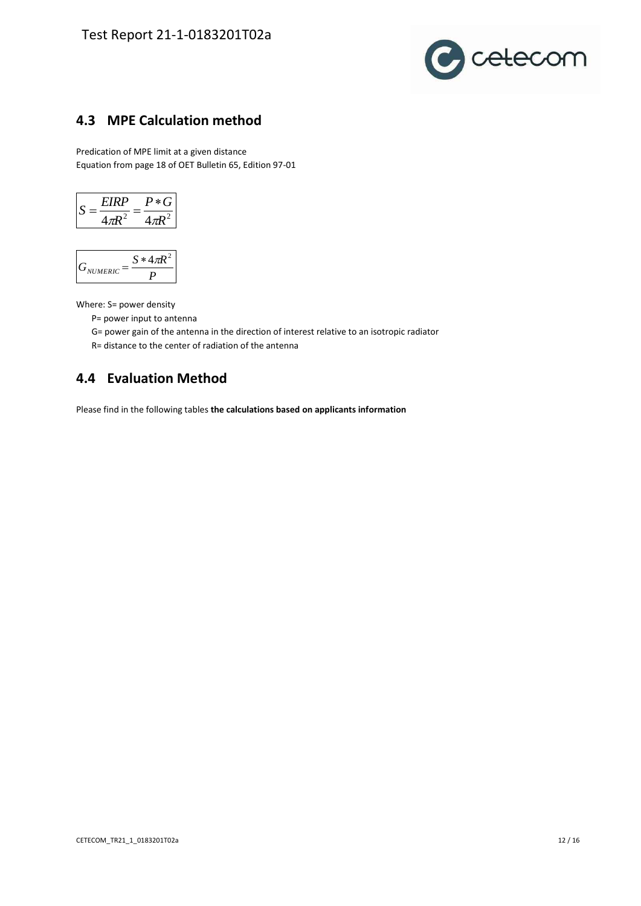

## <span id="page-11-0"></span>**4.3 MPE Calculation method**

Predication of MPE limit at a given distance Equation from page 18 of OET Bulletin 65, Edition 97-01

$$
S = \frac{EIRP}{4\pi R^2} = \frac{P * G}{4\pi R^2}
$$

$$
G_{\text{NUMERIC}} = \frac{S * 4\pi R^2}{P}
$$

Where: S= power density

- P= power input to antenna
- G= power gain of the antenna in the direction of interest relative to an isotropic radiator
- R= distance to the center of radiation of the antenna

#### <span id="page-11-1"></span>**4.4 Evaluation Method**

Please find in the following tables **the calculations based on applicants information**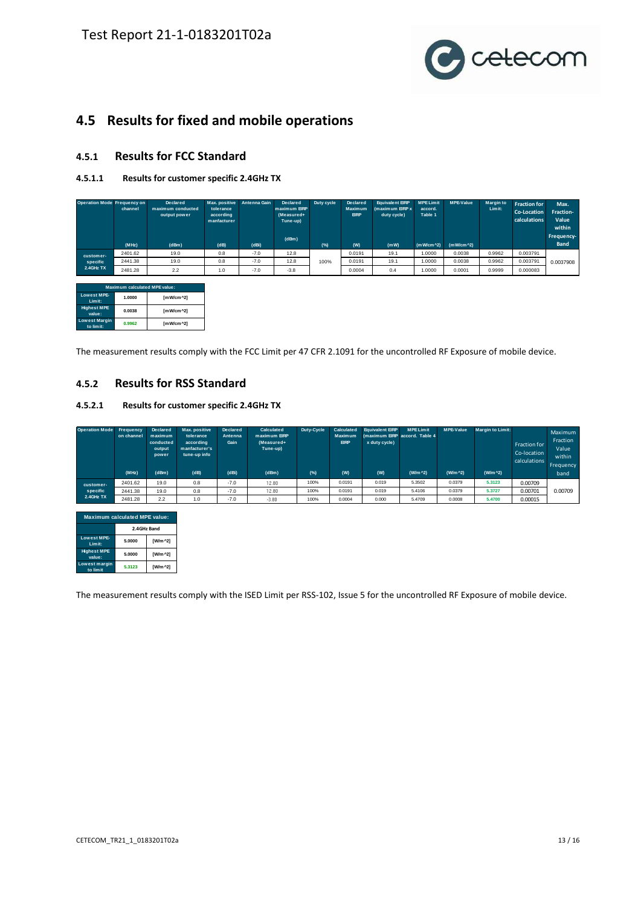

#### <span id="page-12-0"></span>**4.5 Results for fixed and mobile operations**

#### **4.5.1 Results for FCC Standard**

#### **4.5.1.1 Results for customer specific 2.4GHz TX**

| Operation Mode Frequency on  | channel                       | <b>Declared</b><br>maximum conducted<br>output power | Max. positive<br>tolerance<br>according<br>manfacturer | Antenna Gain | <b>Declared</b><br>maximum ERP<br>(Measured+<br>Tune-up)<br>(dBm) | Duty cycle | Declared<br><b>Maximum</b><br><b>EIRP</b> | <b>Equivalent EIRP</b><br>(maximum EIRP x<br>duty cycle) | <b>MPE Limit</b><br>accord.<br>Table 1 | <b>MPE-Value</b>      | <b>Margin to</b><br>Limit: | <b>Fraction for</b><br>Co-Location<br>calculations | Max.<br>Fraction-<br>Value<br>within<br>Frequency- |
|------------------------------|-------------------------------|------------------------------------------------------|--------------------------------------------------------|--------------|-------------------------------------------------------------------|------------|-------------------------------------------|----------------------------------------------------------|----------------------------------------|-----------------------|----------------------------|----------------------------------------------------|----------------------------------------------------|
|                              | (MHz)                         | (dBm)                                                | (dB)                                                   | (dBi)        |                                                                   | (%)        | (W)                                       | (mW)                                                     | $(mW/cm^2)$                            | (mW/cm <sup>2</sup> ) |                            |                                                    | <b>Band</b>                                        |
| customer-                    | 2401.62                       | 19.0                                                 | 0.8                                                    | $-7.0$       | 12.8                                                              |            | 0.0191                                    | 19.1                                                     | 1.0000                                 | 0.0038                | 0.9962                     | 0.003791                                           |                                                    |
| specific                     | 2441.38                       | 19.0                                                 | 0.8                                                    | $-7.0$       | 12.8                                                              | 100%       | 0.0191                                    | 19.1                                                     | 1.0000                                 | 0.0038                | 0.9962                     | 0.003791                                           | 0.0037908                                          |
| 2.4GHz TX                    | 2481.28                       | 2.2                                                  | 1.0                                                    | $-7.0$       | $-3.8$                                                            |            | 0.0004                                    | 0.4                                                      | 1.0000                                 | 0.0001                | 0.9999                     | 0.000083                                           |                                                    |
|                              |                               |                                                      |                                                        |              |                                                                   |            |                                           |                                                          |                                        |                       |                            |                                                    |                                                    |
|                              | Maximum calculated MPE value: |                                                      |                                                        |              |                                                                   |            |                                           |                                                          |                                        |                       |                            |                                                    |                                                    |
| <b>Lowest MPE-</b><br>Limit: | 1.0000                        | [mW/cm^2]                                            |                                                        |              |                                                                   |            |                                           |                                                          |                                        |                       |                            |                                                    |                                                    |
| <b>Highest MPE</b><br>value: | 0.0038                        | [mW/cm^2]                                            |                                                        |              |                                                                   |            |                                           |                                                          |                                        |                       |                            |                                                    |                                                    |
| Lowest Margin<br>to limit:   | 0.9962                        | [mW/cm^2]                                            |                                                        |              |                                                                   |            |                                           |                                                          |                                        |                       |                            |                                                    |                                                    |

The measurement results comply with the FCC Limit per 47 CFR 2.1091 for the uncontrolled RF Exposure of mobile device.

#### **4.5.2 Results for RSS Standard**

#### **4.5.2.1 Results for customer specific 2.4GHz TX**

| Operation Mode Frequency | on channel<br>(MHz) | <b>Declared</b><br>maximum<br>conducted<br>output<br>power<br>(dBm) | Max. positive<br>tolerance<br>according<br>manfacturer's<br>tune-up info<br>(dB) | <b>Declared</b><br>Antenna<br>Gain<br>(dBi) | Calculated<br>maximum EIRP<br>(Measured+<br>Tune-up)<br>(dBm) | Duty-Cycle<br>$(*)$ | Calculated<br><b>Maximum</b><br><b>EIRP</b><br>(W) | <b>Equivalent EIRP</b><br>x duty cycle)<br>(W) | <b>MPELimit</b><br>(maximum EIRP accord, Table 4<br>$(W/m^2)$ | <b>MPE-Value</b><br>(W/m ^2) | <b>Margin to Limit:</b><br>$(W/m^2)$ | Fraction for<br>Co-location<br>calculations | Maximum<br>Fraction<br>Value<br>within<br>Frequency<br>band |
|--------------------------|---------------------|---------------------------------------------------------------------|----------------------------------------------------------------------------------|---------------------------------------------|---------------------------------------------------------------|---------------------|----------------------------------------------------|------------------------------------------------|---------------------------------------------------------------|------------------------------|--------------------------------------|---------------------------------------------|-------------------------------------------------------------|
|                          |                     |                                                                     |                                                                                  |                                             |                                                               |                     |                                                    |                                                |                                                               |                              |                                      |                                             |                                                             |
| customer-                | 2401.62             | 19.0                                                                | 0.8                                                                              | $-7.0$                                      | 12.80                                                         | 100%                | 0.0191                                             | 0.019                                          | 5.3502                                                        | 0.0379                       | 5.3123                               | 0.00709                                     |                                                             |
| specific                 | 2441.38             | 19.0                                                                | 0.8                                                                              | $-7.0$                                      | 12.80                                                         | 100%                | 0.0191                                             | 0.019                                          | 5.4106                                                        | 0.0379                       | 5.3727                               | 0.00701                                     | 0.00709                                                     |
| 2.4GHz TX                | 2481.28             | 2.2                                                                 | 1.0                                                                              | $-7.0$                                      | $-3.80$                                                       | 100%                | 0.0004                                             | 0.000                                          | 5.4709                                                        | 0.0008                       | 5.4700                               | 0.00015                                     |                                                             |

| <b>Maximum calculated MPE value:</b> |             |                 |  |  |  |  |  |
|--------------------------------------|-------------|-----------------|--|--|--|--|--|
|                                      | 2.4GHz Band |                 |  |  |  |  |  |
| <b>Lowest MPE-</b><br>Limit:         | 5.0000      | [W/m ^2]        |  |  |  |  |  |
| <b>Highest MPE</b><br>value:         | 5.0000      | <b>IW/m ^21</b> |  |  |  |  |  |
| Lowest margin<br>to limit            | 5.3123      | <b>IW/m ^21</b> |  |  |  |  |  |

The measurement results comply with the ISED Limit per RSS-102, Issue 5 for the uncontrolled RF Exposure of mobile device.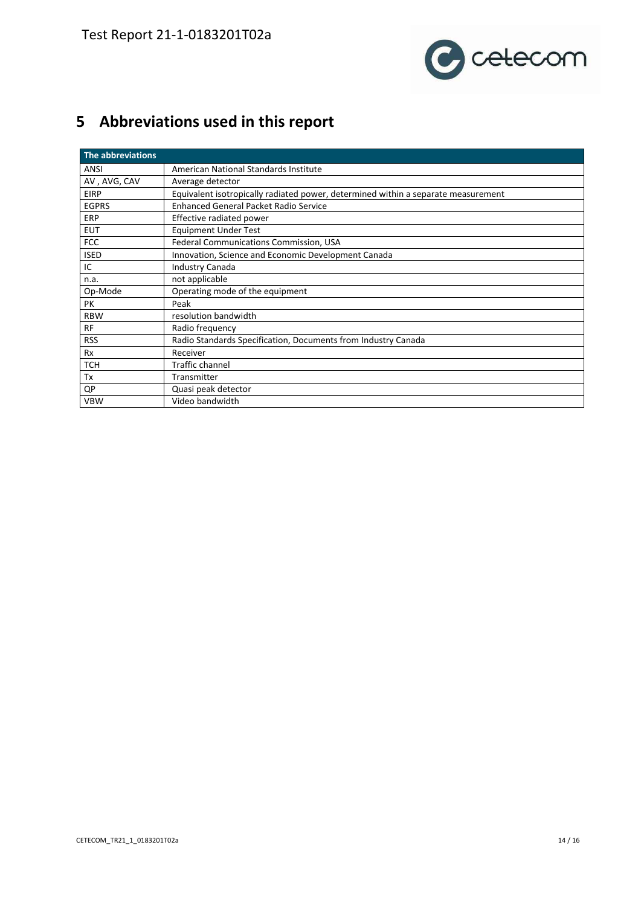

# <span id="page-13-0"></span>**5 Abbreviations used in this report**

| The abbreviations |                                                                                   |
|-------------------|-----------------------------------------------------------------------------------|
| ANSI              | American National Standards Institute                                             |
| AV, AVG, CAV      | Average detector                                                                  |
| <b>EIRP</b>       | Equivalent isotropically radiated power, determined within a separate measurement |
| <b>EGPRS</b>      | <b>Enhanced General Packet Radio Service</b>                                      |
| <b>ERP</b>        | Effective radiated power                                                          |
| <b>EUT</b>        | <b>Equipment Under Test</b>                                                       |
| <b>FCC</b>        | Federal Communications Commission, USA                                            |
| <b>ISED</b>       | Innovation, Science and Economic Development Canada                               |
| IC                | <b>Industry Canada</b>                                                            |
| n.a.              | not applicable                                                                    |
| Op-Mode           | Operating mode of the equipment                                                   |
| PK                | Peak                                                                              |
| <b>RBW</b>        | resolution bandwidth                                                              |
| RF                | Radio frequency                                                                   |
| <b>RSS</b>        | Radio Standards Specification, Documents from Industry Canada                     |
| Rx                | Receiver                                                                          |
| <b>TCH</b>        | <b>Traffic channel</b>                                                            |
| Tx                | Transmitter                                                                       |
| QP                | Quasi peak detector                                                               |
| <b>VBW</b>        | Video bandwidth                                                                   |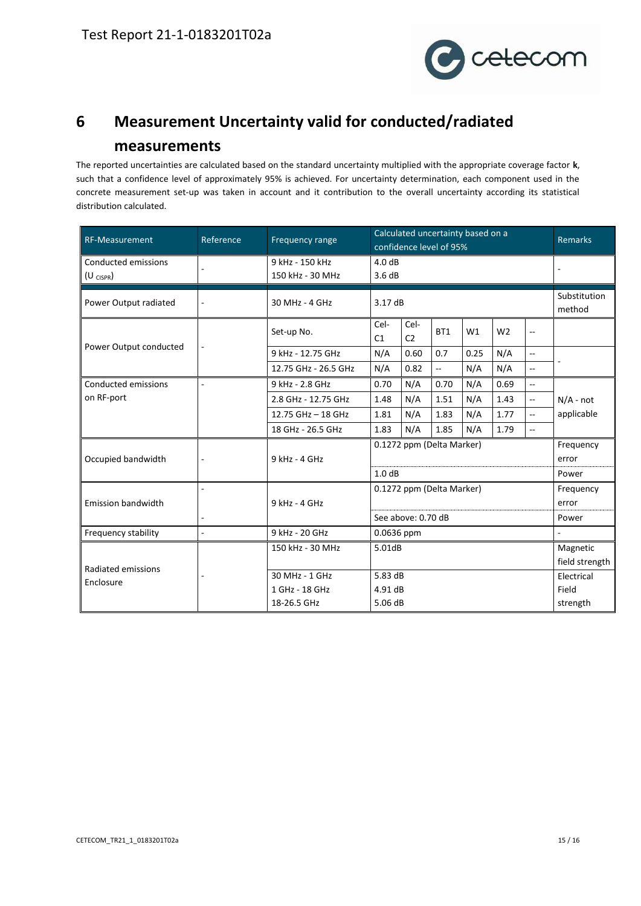

# <span id="page-14-0"></span>**6 Measurement Uncertainty valid for conducted/radiated measurements**

The reported uncertainties are calculated based on the standard uncertainty multiplied with the appropriate coverage factor **k**, such that a confidence level of approximately 95% is achieved. For uncertainty determination, each component used in the concrete measurement set-up was taken in account and it contribution to the overall uncertainty according its statistical distribution calculated.

| RF-Measurement                       | Reference                | Frequency range                     | Calculated uncertainty based on a<br>confidence level of 95% |                           |                 |      |                |                          | <b>Remarks</b>            |  |
|--------------------------------------|--------------------------|-------------------------------------|--------------------------------------------------------------|---------------------------|-----------------|------|----------------|--------------------------|---------------------------|--|
| Conducted emissions<br>$(U_{CISPR})$ |                          | 9 kHz - 150 kHz<br>150 kHz - 30 MHz | 4.0dB<br>3.6dB                                               |                           |                 |      |                |                          |                           |  |
| Power Output radiated                | 30 MHz - 4 GHz           | 3.17 dB                             |                                                              |                           |                 |      |                | Substitution<br>method   |                           |  |
|                                      |                          | Set-up No.                          | Cel-<br>C1                                                   | Cel-<br>C <sub>2</sub>    | BT <sub>1</sub> | W1   | W <sub>2</sub> | --                       |                           |  |
| Power Output conducted               |                          | 9 kHz - 12.75 GHz                   | N/A                                                          | 0.60                      | 0.7             | 0.25 | N/A            | $\overline{a}$           |                           |  |
|                                      |                          | 12.75 GHz - 26.5 GHz                | N/A                                                          | 0.82                      | --              | N/A  | N/A            | $-$                      |                           |  |
| Conducted emissions                  |                          | 9 kHz - 2.8 GHz                     | 0.70                                                         | N/A                       | 0.70            | N/A  | 0.69           | $\sim$                   | $N/A$ - not<br>applicable |  |
| on RF-port                           |                          | 2.8 GHz - 12.75 GHz                 | 1.48                                                         | N/A                       | 1.51            | N/A  | 1.43           | Ξ.                       |                           |  |
|                                      |                          | 12.75 GHz - 18 GHz                  | 1.81                                                         | N/A                       | 1.83            | N/A  | 1.77           | $\overline{\phantom{a}}$ |                           |  |
|                                      |                          | 18 GHz - 26.5 GHz                   | 1.83                                                         | N/A                       | 1.85            | N/A  | 1.79           | $\overline{a}$           |                           |  |
|                                      |                          |                                     |                                                              | 0.1272 ppm (Delta Marker) | Frequency       |      |                |                          |                           |  |
| Occupied bandwidth                   | ÷,                       | 9 kHz - 4 GHz                       |                                                              |                           | error           |      |                |                          |                           |  |
|                                      |                          |                                     | 1.0dB                                                        |                           | Power           |      |                |                          |                           |  |
|                                      |                          |                                     |                                                              | 0.1272 ppm (Delta Marker) | Frequency       |      |                |                          |                           |  |
| <b>Emission bandwidth</b>            |                          | 9 kHz - 4 GHz                       |                                                              |                           | error           |      |                |                          |                           |  |
|                                      | ٠                        |                                     |                                                              | See above: 0.70 dB        | Power           |      |                |                          |                           |  |
| Frequency stability                  | $\overline{\phantom{a}}$ | 9 kHz - 20 GHz                      | 0.0636 ppm                                                   |                           |                 |      |                |                          |                           |  |
|                                      |                          | 150 kHz - 30 MHz                    | 5.01dB                                                       |                           |                 |      |                | Magnetic                 |                           |  |
| Radiated emissions                   |                          |                                     |                                                              |                           |                 |      | field strength |                          |                           |  |
| Enclosure                            |                          | 30 MHz - 1 GHz                      | 5.83dB                                                       |                           |                 |      | Electrical     |                          |                           |  |
|                                      |                          | 1 GHz - 18 GHz                      | 4.91 dB                                                      |                           |                 |      |                | Field                    |                           |  |
|                                      |                          | 18-26.5 GHz                         | 5.06 dB                                                      |                           |                 |      |                |                          | strength                  |  |